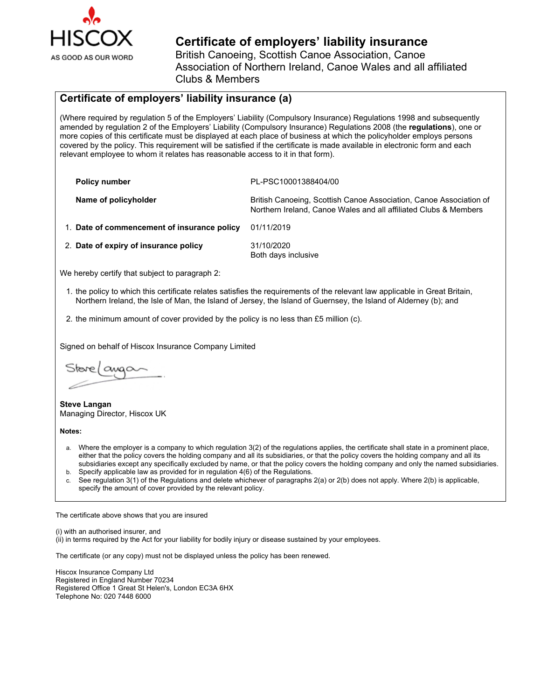

## **Certificate of employers' liability insurance** British Canoeing, Scottish Canoe Association, Canoe

Association of Northern Ireland, Canoe Wales and all affiliated Clubs & Members

## **Certificate of employers' liability insurance (a)**

(Where required by regulation 5 of the Employers' Liability (Compulsory Insurance) Regulations 1998 and subsequently amended by regulation 2 of the Employers' Liability (Compulsory Insurance) Regulations 2008 (the **regulations**), one or more copies of this certificate must be displayed at each place of business at which the policyholder employs persons covered by the policy. This requirement will be satisfied if the certificate is made available in electronic form and each relevant employee to whom it relates has reasonable access to it in that form).

| <b>Policy number</b>                        | PL-PSC10001388404/00                                                                                                                   |
|---------------------------------------------|----------------------------------------------------------------------------------------------------------------------------------------|
| Name of policyholder                        | British Canoeing, Scottish Canoe Association, Canoe Association of<br>Northern Ireland, Canoe Wales and all affiliated Clubs & Members |
| 1. Date of commencement of insurance policy | 01/11/2019                                                                                                                             |
| 2. Date of expiry of insurance policy       | 31/10/2020<br>Both days inclusive                                                                                                      |

We hereby certify that subject to paragraph 2:

- 1. the policy to which this certificate relates satisfies the requirements of the relevant law applicable in Great Britain, Northern Ireland, the Isle of Man, the Island of Jersey, the Island of Guernsey, the Island of Alderney (b); and
- 2. the minimum amount of cover provided by the policy is no less than £5 million (c).

Signed on behalf of Hiscox Insurance Company Limited

Stare/awa $\sim$ 

**Steve Langan** Managing Director, Hiscox UK

**Notes:**

- a. Where the employer is a company to which regulation 3(2) of the regulations applies, the certificate shall state in a prominent place, either that the policy covers the holding company and all its subsidiaries, or that the policy covers the holding company and all its subsidiaries except any specifically excluded by name, or that the policy covers the holding company and only the named subsidiaries.
- b. Specify applicable law as provided for in regulation 4(6) of the Regulations.
- See regulation 3(1) of the Regulations and delete whichever of paragraphs 2(a) or 2(b) does not apply. Where 2(b) is applicable, specify the amount of cover provided by the relevant policy.

The certificate above shows that you are insured

(i) with an authorised insurer, and

(ii) in terms required by the Act for your liability for bodily injury or disease sustained by your employees.

The certificate (or any copy) must not be displayed unless the policy has been renewed.

Hiscox Insurance Company Ltd Registered in England Number 70234 Registered Office 1 Great St Helen's, London EC3A 6HX Telephone No: 020 7448 6000